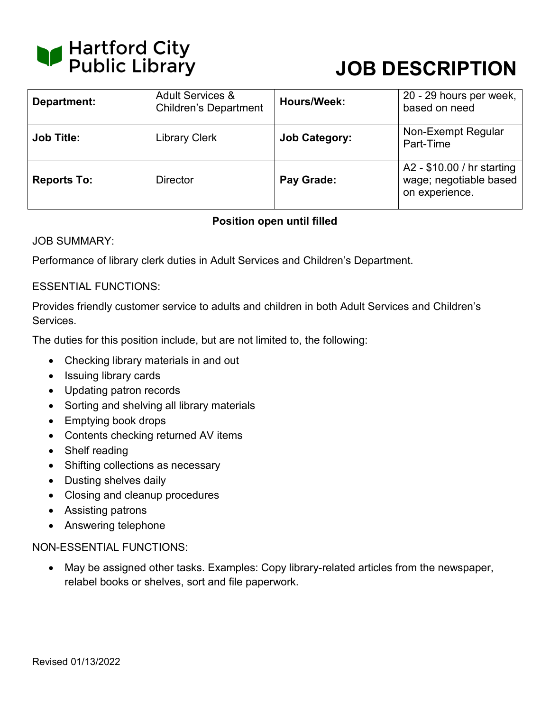

# **JOB DESCRIPTION**

| Department:        | <b>Adult Services &amp;</b><br><b>Children's Department</b> | <b>Hours/Week:</b>   | 20 - 29 hours per week,<br>based on need                               |
|--------------------|-------------------------------------------------------------|----------------------|------------------------------------------------------------------------|
| <b>Job Title:</b>  | <b>Library Clerk</b>                                        | <b>Job Category:</b> | Non-Exempt Regular<br>Part-Time                                        |
| <b>Reports To:</b> | <b>Director</b>                                             | Pay Grade:           | A2 - \$10.00 / hr starting<br>wage; negotiable based<br>on experience. |

## **Position open until filled**

JOB SUMMARY:

Performance of library clerk duties in Adult Services and Children's Department.

### ESSENTIAL FUNCTIONS:

Provides friendly customer service to adults and children in both Adult Services and Children's Services.

The duties for this position include, but are not limited to, the following:

- Checking library materials in and out
- Issuing library cards
- Updating patron records
- Sorting and shelving all library materials
- Emptying book drops
- Contents checking returned AV items
- Shelf reading
- Shifting collections as necessary
- Dusting shelves daily
- Closing and cleanup procedures
- Assisting patrons
- Answering telephone

#### NON-ESSENTIAL FUNCTIONS:

• May be assigned other tasks. Examples: Copy library-related articles from the newspaper, relabel books or shelves, sort and file paperwork.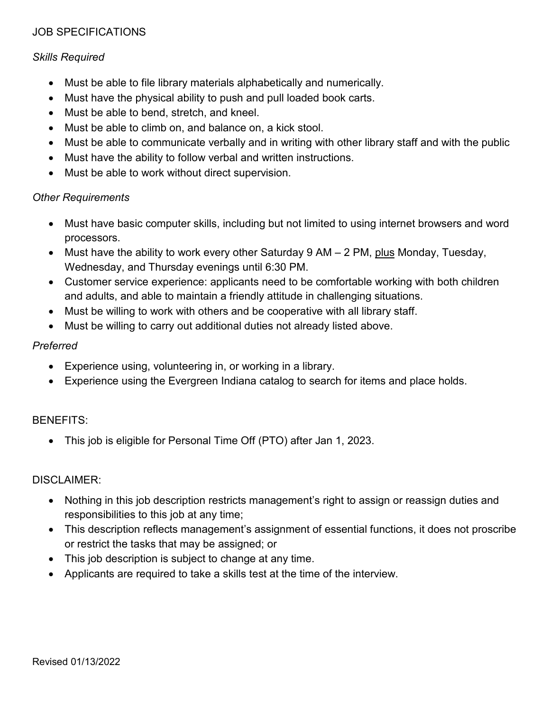## JOB SPECIFICATIONS

### *Skills Required*

- Must be able to file library materials alphabetically and numerically.
- Must have the physical ability to push and pull loaded book carts.
- Must be able to bend, stretch, and kneel.
- Must be able to climb on, and balance on, a kick stool.
- Must be able to communicate verbally and in writing with other library staff and with the public
- Must have the ability to follow verbal and written instructions.
- Must be able to work without direct supervision.

### *Other Requirements*

- Must have basic computer skills, including but not limited to using internet browsers and word processors.
- Must have the ability to work every other Saturday 9 AM 2 PM, plus Monday, Tuesday, Wednesday, and Thursday evenings until 6:30 PM.
- Customer service experience: applicants need to be comfortable working with both children and adults, and able to maintain a friendly attitude in challenging situations.
- Must be willing to work with others and be cooperative with all library staff.
- Must be willing to carry out additional duties not already listed above.

### *Preferred*

- Experience using, volunteering in, or working in a library.
- Experience using the Evergreen Indiana catalog to search for items and place holds.

## BENEFITS:

• This job is eligible for Personal Time Off (PTO) after Jan 1, 2023.

### DISCLAIMER:

- Nothing in this job description restricts management's right to assign or reassign duties and responsibilities to this job at any time;
- This description reflects management's assignment of essential functions, it does not proscribe or restrict the tasks that may be assigned; or
- This job description is subject to change at any time.
- Applicants are required to take a skills test at the time of the interview.